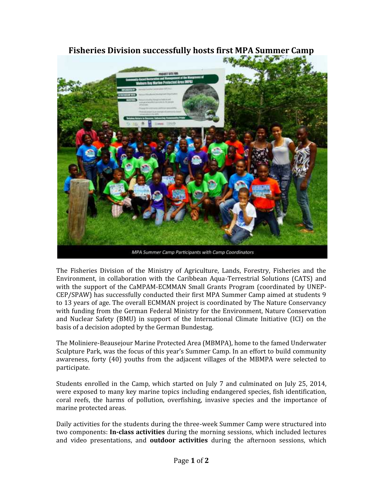

**Fisheries Division successfully hosts first MPA Summer Camp**

MPA Summer Camp Participants with Camp Coordinators

The Fisheries Division of the Ministry of Agriculture, Lands, Forestry, Fisheries and the Environment, in collaboration with the Caribbean Aqua-Terrestrial Solutions (CATS) and with the support of the CaMPAM-ECMMAN Small Grants Program (coordinated by UNEP- CEP/SPAW) has successfully conducted their first MPA Summer Camp aimed at students 9 to 13 years of age. The overall ECMMAN project is coordinated by The Nature Conservancy with funding from the German Federal Ministry for the Environment, Nature Conservation and Nuclear Safety (BMU) in support of the International Climate Initiative (ICI) on the basis of a decision adopted by the German Bundestag.

The Moliniere-Beausejour Marine Protected Area (MBMPA), home to the famed Underwater Sculpture Park, was the focus of this year's Summer Camp. In an effort to build community awareness, forty (40) youths from the adjacent villages of the MBMPA were selected to participate.

Students enrolled in the Camp, which started on July 7 and culminated on July 25, 2014, were exposed to many key marine topics including endangered species, fish identification, coral reefs, the harms of pollution, overfishing, invasive species and the importance of marine protected areas.

Daily activities for the students during the three-week Summer Camp were structured into two components: **In-class activities** during the morning sessions, which included lectures and video presentations, and **outdoor activities** during the afternoon sessions, which